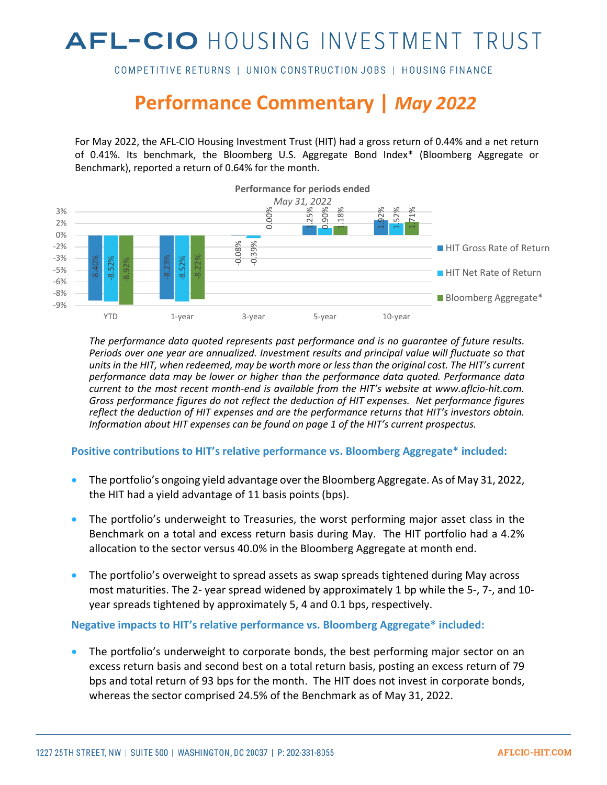# AFL-CIO HOUSING INVESTMENT TRUST

COMPETITIVE RETURNS | UNION CONSTRUCTION JOBS | HOUSING FINANCE

## **Performance Commentary |** *May 2022*

For May 2022, the AFL-CIO Housing Investment Trust (HIT) had a gross return of 0.44% and a net return of 0.41%. Its benchmark, the Bloomberg U.S. Aggregate Bond Index\* (Bloomberg Aggregate or Benchmark), reported a return of 0.64% for the month.



*The performance data quoted represents past performance and is no guarantee of future results. Periods over one year are annualized. Investment results and principal value will fluctuate so that units in the HIT, when redeemed, may be worth more or less than the original cost. The HIT's current performance data may be lower or higher than the performance data quoted. Performance data current to the most recent month-end is available from the HIT's website at www.aflcio-hit.com. Gross performance figures do not reflect the deduction of HIT expenses. Net performance figures reflect the deduction of HIT expenses and are the performance returns that HIT's investors obtain. Information about HIT expenses can be found on page 1 of the HIT's current prospectus.* 

#### **Positive contributions to HIT's relative performance vs. Bloomberg Aggregate\* included:**

- The portfolio's ongoing yield advantage over the Bloomberg Aggregate. As of May 31, 2022, the HIT had a yield advantage of 11 basis points (bps).
- The portfolio's underweight to Treasuries, the worst performing major asset class in the Benchmark on a total and excess return basis during May. The HIT portfolio had a 4.2% allocation to the sector versus 40.0% in the Bloomberg Aggregate at month end.
- The portfolio's overweight to spread assets as swap spreads tightened during May across most maturities. The 2- year spread widened by approximately 1 bp while the 5-, 7-, and 10 year spreads tightened by approximately 5, 4 and 0.1 bps, respectively.

**Negative impacts to HIT's relative performance vs. Bloomberg Aggregate\* included:** 

The portfolio's underweight to corporate bonds, the best performing major sector on an excess return basis and second best on a total return basis, posting an excess return of 79 bps and total return of 93 bps for the month. The HIT does not invest in corporate bonds, whereas the sector comprised 24.5% of the Benchmark as of May 31, 2022.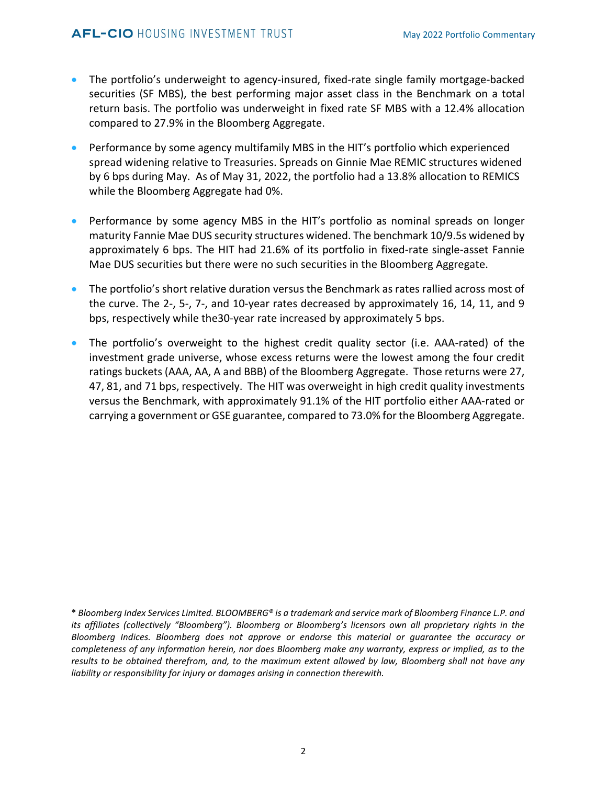- The portfolio's underweight to agency-insured, fixed-rate single family mortgage-backed securities (SF MBS), the best performing major asset class in the Benchmark on a total return basis. The portfolio was underweight in fixed rate SF MBS with a 12.4% allocation compared to 27.9% in the Bloomberg Aggregate.
- Performance by some agency multifamily MBS in the HIT's portfolio which experienced spread widening relative to Treasuries. Spreads on Ginnie Mae REMIC structures widened by 6 bps during May. As of May 31, 2022, the portfolio had a 13.8% allocation to REMICS while the Bloomberg Aggregate had 0%.
- Performance by some agency MBS in the HIT's portfolio as nominal spreads on longer maturity Fannie Mae DUS security structures widened. The benchmark 10/9.5s widened by approximately 6 bps. The HIT had 21.6% of its portfolio in fixed-rate single-asset Fannie Mae DUS securities but there were no such securities in the Bloomberg Aggregate.
- The portfolio's short relative duration versus the Benchmark as rates rallied across most of the curve. The 2-, 5-, 7-, and 10-year rates decreased by approximately 16, 14, 11, and 9 bps, respectively while the30-year rate increased by approximately 5 bps.
- The portfolio's overweight to the highest credit quality sector (i.e. AAA-rated) of the investment grade universe, whose excess returns were the lowest among the four credit ratings buckets (AAA, AA, A and BBB) of the Bloomberg Aggregate. Those returns were 27, 47, 81, and 71 bps, respectively. The HIT was overweight in high credit quality investments versus the Benchmark, with approximately 91.1% of the HIT portfolio either AAA-rated or carrying a government or GSE guarantee, compared to 73.0% for the Bloomberg Aggregate.

<sup>\*</sup> *Bloomberg Index Services Limited. BLOOMBERG® is a trademark and service mark of Bloomberg Finance L.P. and its affiliates (collectively "Bloomberg"). Bloomberg or Bloomberg's licensors own all proprietary rights in the Bloomberg Indices. Bloomberg does not approve or endorse this material or guarantee the accuracy or completeness of any information herein, nor does Bloomberg make any warranty, express or implied, as to the results to be obtained therefrom, and, to the maximum extent allowed by law, Bloomberg shall not have any liability or responsibility for injury or damages arising in connection therewith.*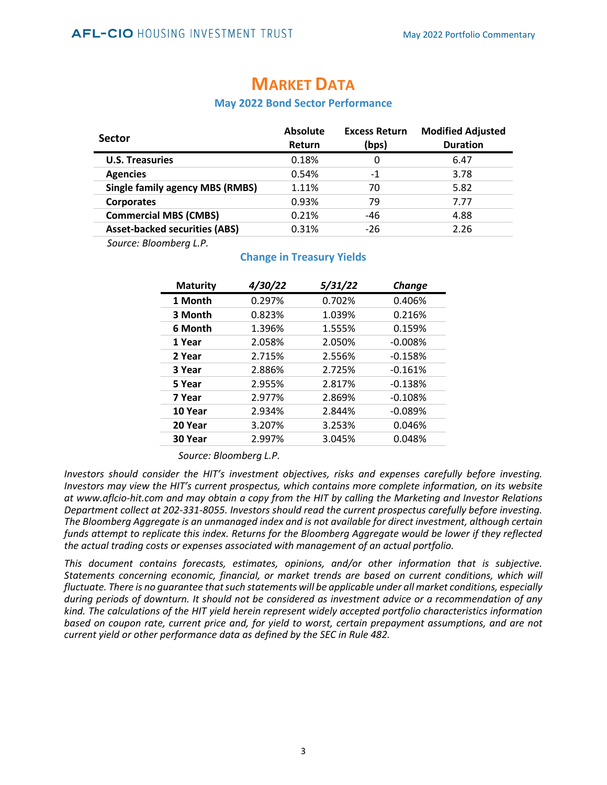| <b>Sector</b>                          | <b>Absolute</b><br>Return | <b>Excess Return</b><br>(bps) | <b>Modified Adjusted</b><br><b>Duration</b> |
|----------------------------------------|---------------------------|-------------------------------|---------------------------------------------|
| <b>U.S. Treasuries</b>                 | 0.18%                     | 0                             | 6.47                                        |
| <b>Agencies</b>                        | 0.54%                     | -1                            | 3.78                                        |
| <b>Single family agency MBS (RMBS)</b> | 1.11%                     | 70                            | 5.82                                        |
| <b>Corporates</b>                      | 0.93%                     | 79                            | 7.77                                        |
| <b>Commercial MBS (CMBS)</b>           | 0.21%                     | -46                           | 4.88                                        |
| <b>Asset-backed securities (ABS)</b>   | 0.31%                     | $-26$                         | 2.26                                        |

### **MARKET DATA**

#### **May 2022 Bond Sector Performance**

*Source: Bloomberg L.P.*

#### **Change in Treasury Yields**

| <b>Maturity</b> | 4/30/22 | 5/31/22 | <b>Change</b> |
|-----------------|---------|---------|---------------|
| 1 Month         | 0.297%  | 0.702%  | 0.406%        |
| 3 Month         | 0.823%  | 1.039%  | 0.216%        |
| 6 Month         | 1.396%  | 1.555%  | 0.159%        |
| 1 Year          | 2.058%  | 2.050%  | $-0.008%$     |
| 2 Year          | 2.715%  | 2.556%  | $-0.158%$     |
| 3 Year          | 2.886%  | 2.725%  | $-0.161%$     |
| 5 Year          | 2.955%  | 2.817%  | $-0.138%$     |
| 7 Year          | 2.977%  | 2.869%  | $-0.108%$     |
| 10 Year         | 2.934%  | 2.844%  | $-0.089%$     |
| 20 Year         | 3.207%  | 3.253%  | 0.046%        |
| 30 Year         | 2.997%  | 3.045%  | 0.048%        |

*Source: Bloomberg L.P.*

*Investors should consider the HIT's investment objectives, risks and expenses carefully before investing. Investors may view the HIT's current prospectus, which contains more complete information, on its website at www.aflcio-hit.com and may obtain a copy from the HIT by calling the Marketing and Investor Relations Department collect at 202-331-8055. Investors should read the current prospectus carefully before investing. The Bloomberg Aggregate is an unmanaged index and is not available for direct investment, although certain funds attempt to replicate this index. Returns for the Bloomberg Aggregate would be lower if they reflected the actual trading costs or expenses associated with management of an actual portfolio.*

*This document contains forecasts, estimates, opinions, and/or other information that is subjective. Statements concerning economic, financial, or market trends are based on current conditions, which will fluctuate. There is no guarantee that such statements will be applicable under all market conditions, especially during periods of downturn. It should not be considered as investment advice or a recommendation of any kind. The calculations of the HIT yield herein represent widely accepted portfolio characteristics information based on coupon rate, current price and, for yield to worst, certain prepayment assumptions, and are not current yield or other performance data as defined by the SEC in Rule 482.*